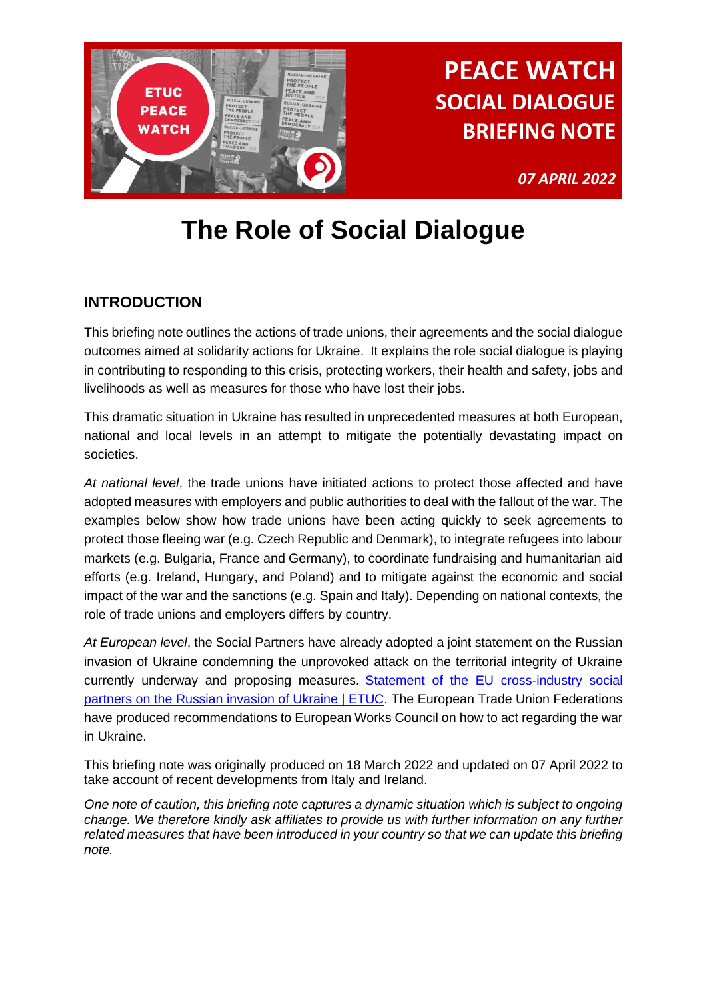

*07 APRIL 2022*

# **The Role of Social Dialogue**

### **INTRODUCTION**

This briefing note outlines the actions of trade unions, their agreements and the social dialogue outcomes aimed at solidarity actions for Ukraine. It explains the role social dialogue is playing in contributing to responding to this crisis, protecting workers, their health and safety, jobs and livelihoods as well as measures for those who have lost their jobs.

This dramatic situation in Ukraine has resulted in unprecedented measures at both European, national and local levels in an attempt to mitigate the potentially devastating impact on societies.

*At national level*, the trade unions have initiated actions to protect those affected and have adopted measures with employers and public authorities to deal with the fallout of the war. The examples below show how trade unions have been acting quickly to seek agreements to protect those fleeing war (e.g. Czech Republic and Denmark), to integrate refugees into labour markets (e.g. Bulgaria, France and Germany), to coordinate fundraising and humanitarian aid efforts (e.g. Ireland, Hungary, and Poland) and to mitigate against the economic and social impact of the war and the sanctions (e.g. Spain and Italy). Depending on national contexts, the role of trade unions and employers differs by country.

*At European level*, the Social Partners have already adopted a joint statement on the Russian invasion of Ukraine condemning the unprovoked attack on the territorial integrity of Ukraine currently underway and proposing measures. [Statement of the EU cross-industry social](https://www.etuc.org/en/document/statement-eu-cross-industry-social-partners-russian-invasion-ukraine)  [partners on the Russian invasion of Ukraine | ETUC.](https://www.etuc.org/en/document/statement-eu-cross-industry-social-partners-russian-invasion-ukraine) The European Trade Union Federations have produced recommendations to European Works Council on how to act regarding the war in Ukraine.

This briefing note was originally produced on 18 March 2022 and updated on 07 April 2022 to take account of recent developments from Italy and Ireland.

*One note of caution, this briefing note captures a dynamic situation which is subject to ongoing change. We therefore kindly ask affiliates to provide us with further information on any further related measures that have been introduced in your country so that we can update this briefing note.*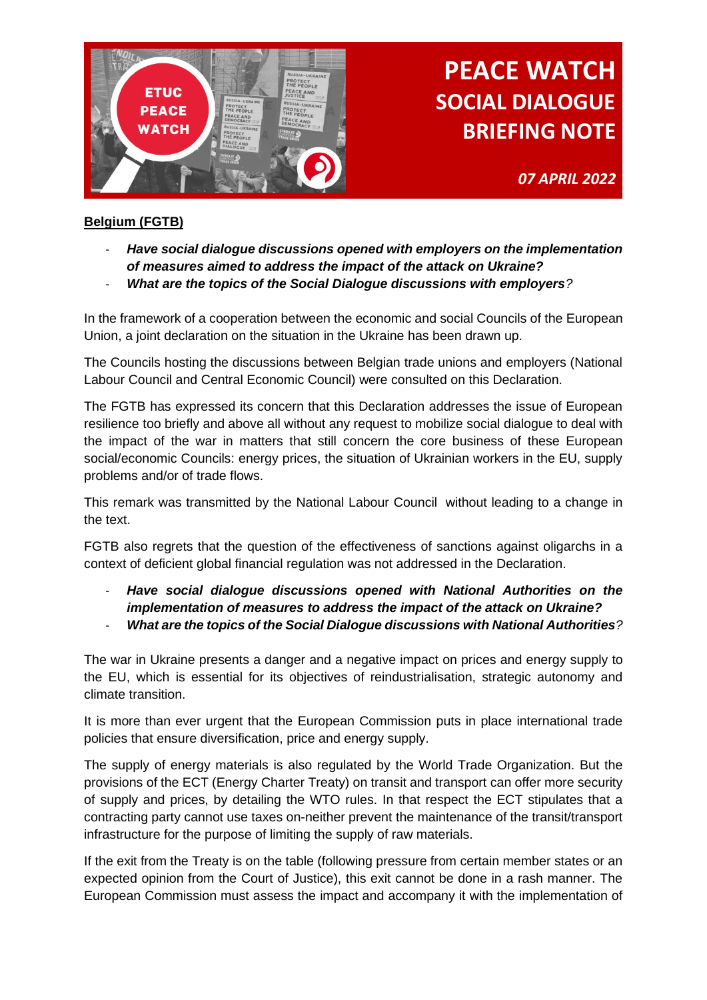

*07 APRIL 2022*

#### **Belgium (FGTB)**

- *Have social dialogue discussions opened with employers on the implementation of measures aimed to address the impact of the attack on Ukraine?*
- *What are the topics of the Social Dialogue discussions with employers?*

In the framework of a cooperation between the economic and social Councils of the European Union, a joint declaration on the situation in the Ukraine has been drawn up.

The Councils hosting the discussions between Belgian trade unions and employers (National Labour Council and Central Economic Council) were consulted on this Declaration.

The FGTB has expressed its concern that this Declaration addresses the issue of European resilience too briefly and above all without any request to mobilize social dialogue to deal with the impact of the war in matters that still concern the core business of these European social/economic Councils: energy prices, the situation of Ukrainian workers in the EU, supply problems and/or of trade flows.

This remark was transmitted by the National Labour Council without leading to a change in the text.

FGTB also regrets that the question of the effectiveness of sanctions against oligarchs in a context of deficient global financial regulation was not addressed in the Declaration.

- *Have social dialogue discussions opened with National Authorities on the implementation of measures to address the impact of the attack on Ukraine?*  - *What are the topics of the Social Dialogue discussions with National Authorities?*

The war in Ukraine presents a danger and a negative impact on prices and energy supply to the EU, which is essential for its objectives of reindustrialisation, strategic autonomy and climate transition.

It is more than ever urgent that the European Commission puts in place international trade policies that ensure diversification, price and energy supply.

The supply of energy materials is also regulated by the World Trade Organization. But the provisions of the ECT (Energy Charter Treaty) on transit and transport can offer more security of supply and prices, by detailing the WTO rules. In that respect the ECT stipulates that a contracting party cannot use taxes on-neither prevent the maintenance of the transit/transport infrastructure for the purpose of limiting the supply of raw materials.

If the exit from the Treaty is on the table (following pressure from certain member states or an expected opinion from the Court of Justice), this exit cannot be done in a rash manner. The European Commission must assess the impact and accompany it with the implementation of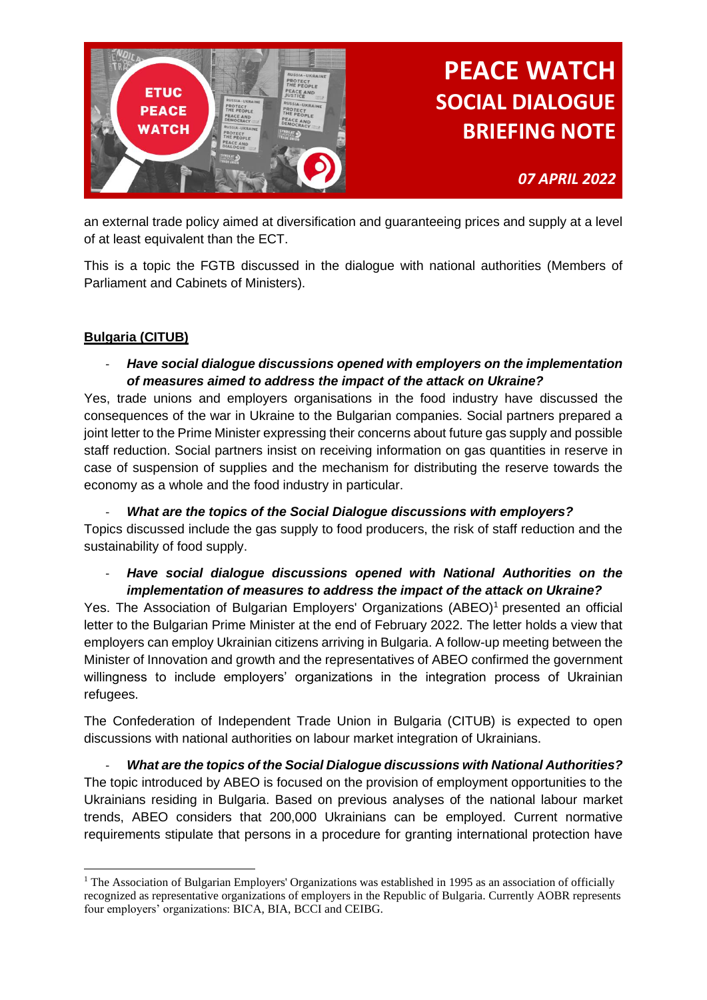

*07 APRIL 2022*

an external trade policy aimed at diversification and guaranteeing prices and supply at a level of at least equivalent than the ECT.

This is a topic the FGTB discussed in the dialogue with national authorities (Members of Parliament and Cabinets of Ministers).

### **Bulgaria (CITUB)**

- *Have social dialogue discussions opened with employers on the implementation of measures aimed to address the impact of the attack on Ukraine?*

Yes, trade unions and employers organisations in the food industry have discussed the consequences of the war in Ukraine to the Bulgarian companies. Social partners prepared a joint letter to the Prime Minister expressing their concerns about future gas supply and possible staff reduction. Social partners insist on receiving information on gas quantities in reserve in case of suspension of supplies and the mechanism for distributing the reserve towards the economy as a whole and the food industry in particular.

- *What are the topics of the Social Dialogue discussions with employers?* Topics discussed include the gas supply to food producers, the risk of staff reduction and the sustainability of food supply.

#### - *Have social dialogue discussions opened with National Authorities on the implementation of measures to address the impact of the attack on Ukraine?*

Yes. The Association of Bulgarian Employers' Organizations (ABEO)<sup>1</sup> presented an official letter to the Bulgarian Prime Minister at the end of February 2022. The letter holds a view that employers can employ Ukrainian citizens arriving in Bulgaria. A follow-up meeting between the Minister of Innovation and growth and the representatives of ABEO confirmed the government willingness to include employers' organizations in the integration process of Ukrainian refugees.

The Confederation of Independent Trade Union in Bulgaria (CITUB) is expected to open discussions with national authorities on labour market integration of Ukrainians.

- *What are the topics of the Social Dialogue discussions with National Authorities?* The topic introduced by ABEO is focused on the provision of employment opportunities to the Ukrainians residing in Bulgaria. Based on previous analyses of the national labour market trends, ABEO considers that 200,000 Ukrainians can be employed. Current normative requirements stipulate that persons in a procedure for granting international protection have

<sup>&</sup>lt;sup>1</sup> The Association of Bulgarian Employers' Organizations was established in 1995 as an association of officially recognized as representative organizations of employers in the Republic of Bulgaria. Currently AOBR represents four employers' organizations: BICA, BIA, BCCI and CEIBG.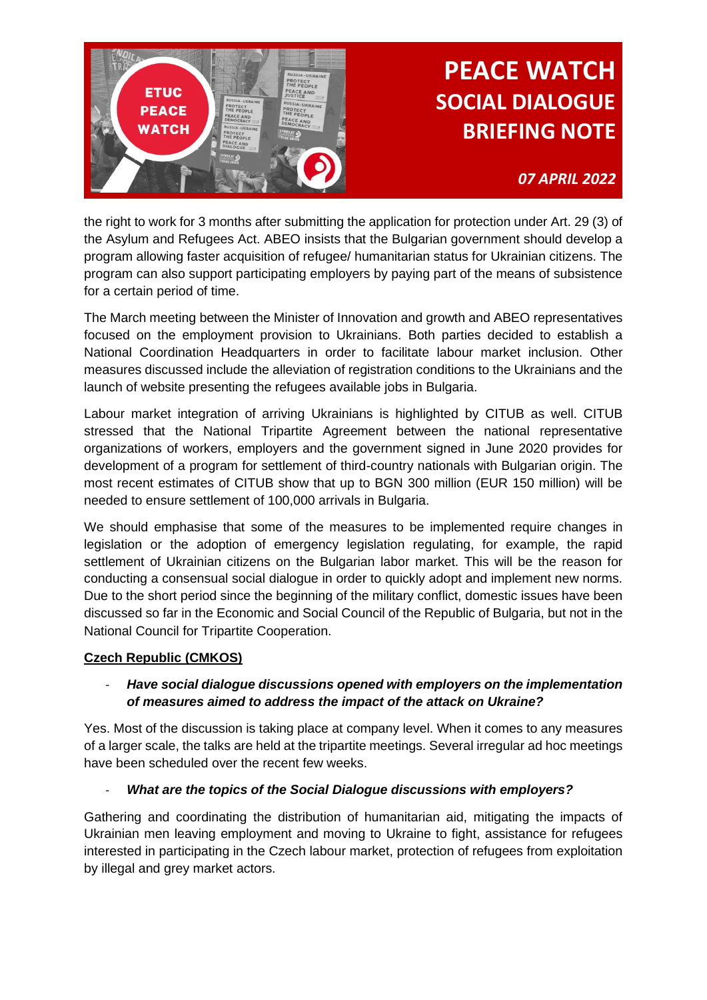

*07 APRIL 2022*

the right to work for 3 months after submitting the application for protection under Art. 29 (3) of the Asylum and Refugees Act. ABEO insists that the Bulgarian government should develop a program allowing faster acquisition of refugee/ humanitarian status for Ukrainian citizens. The program can also support participating employers by paying part of the means of subsistence for a certain period of time.

The March meeting between the Minister of Innovation and growth and ABEO representatives focused on the employment provision to Ukrainians. Both parties decided to establish a National Coordination Headquarters in order to facilitate labour market inclusion. Other measures discussed include the alleviation of registration conditions to the Ukrainians and the launch of website presenting the refugees available jobs in Bulgaria.

Labour market integration of arriving Ukrainians is highlighted by CITUB as well. CITUB stressed that the National Tripartite Agreement between the national representative organizations of workers, employers and the government signed in June 2020 provides for development of a program for settlement of third-country nationals with Bulgarian origin. The most recent estimates of CITUB show that up to BGN 300 million (EUR 150 million) will be needed to ensure settlement of 100,000 arrivals in Bulgaria.

We should emphasise that some of the measures to be implemented require changes in legislation or the adoption of emergency legislation regulating, for example, the rapid settlement of Ukrainian citizens on the Bulgarian labor market. This will be the reason for conducting a consensual social dialogue in order to quickly adopt and implement new norms. Due to the short period since the beginning of the military conflict, domestic issues have been discussed so far in the Economic and Social Council of the Republic of Bulgaria, but not in the National Council for Tripartite Cooperation.

#### **Czech Republic (CMKOS)**

#### - *Have social dialogue discussions opened with employers on the implementation of measures aimed to address the impact of the attack on Ukraine?*

Yes. Most of the discussion is taking place at company level. When it comes to any measures of a larger scale, the talks are held at the tripartite meetings. Several irregular ad hoc meetings have been scheduled over the recent few weeks.

#### - *What are the topics of the Social Dialogue discussions with employers?*

Gathering and coordinating the distribution of humanitarian aid, mitigating the impacts of Ukrainian men leaving employment and moving to Ukraine to fight, assistance for refugees interested in participating in the Czech labour market, protection of refugees from exploitation by illegal and grey market actors.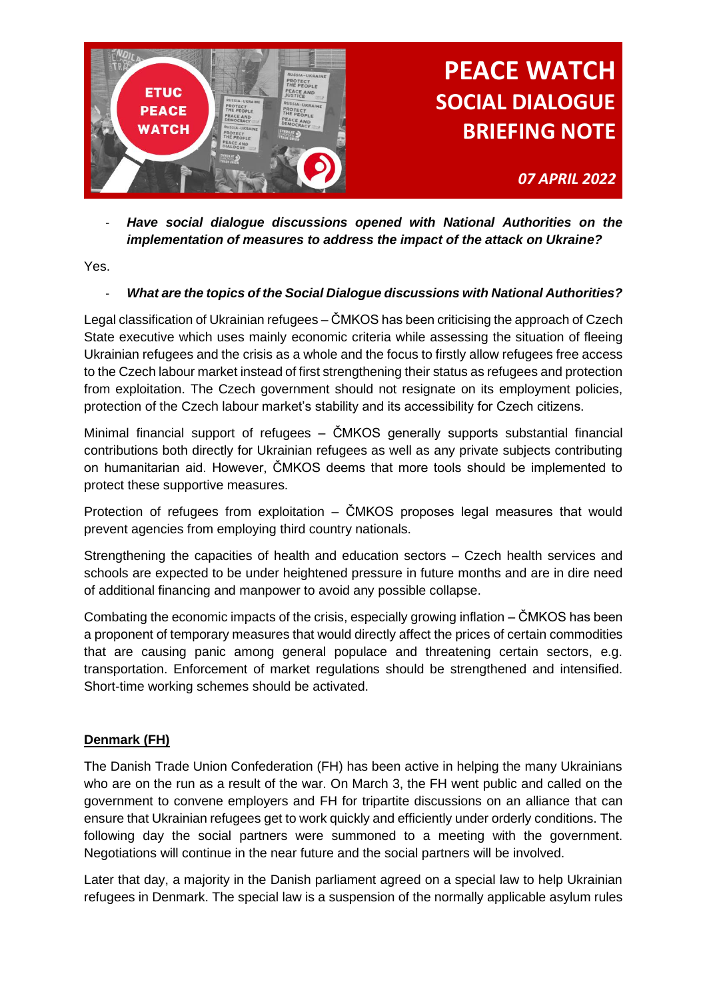

*07 APRIL 2022*

- *Have social dialogue discussions opened with National Authorities on the implementation of measures to address the impact of the attack on Ukraine?*

Yes.

#### - *What are the topics of the Social Dialogue discussions with National Authorities?*

Legal classification of Ukrainian refugees – ČMKOS has been criticising the approach of Czech State executive which uses mainly economic criteria while assessing the situation of fleeing Ukrainian refugees and the crisis as a whole and the focus to firstly allow refugees free access to the Czech labour market instead of first strengthening their status as refugees and protection from exploitation. The Czech government should not resignate on its employment policies, protection of the Czech labour market's stability and its accessibility for Czech citizens.

Minimal financial support of refugees – ČMKOS generally supports substantial financial contributions both directly for Ukrainian refugees as well as any private subjects contributing on humanitarian aid. However, ČMKOS deems that more tools should be implemented to protect these supportive measures.

Protection of refugees from exploitation – ČMKOS proposes legal measures that would prevent agencies from employing third country nationals.

Strengthening the capacities of health and education sectors – Czech health services and schools are expected to be under heightened pressure in future months and are in dire need of additional financing and manpower to avoid any possible collapse.

Combating the economic impacts of the crisis, especially growing inflation – ČMKOS has been a proponent of temporary measures that would directly affect the prices of certain commodities that are causing panic among general populace and threatening certain sectors, e.g. transportation. Enforcement of market regulations should be strengthened and intensified. Short-time working schemes should be activated.

#### **Denmark (FH)**

The Danish Trade Union Confederation (FH) has been active in helping the many Ukrainians who are on the run as a result of the war. On March 3, the FH went public and called on the government to convene employers and FH for tripartite discussions on an alliance that can ensure that Ukrainian refugees get to work quickly and efficiently under orderly conditions. The following day the social partners were summoned to a meeting with the government. Negotiations will continue in the near future and the social partners will be involved.

Later that day, a majority in the Danish parliament agreed on a special law to help Ukrainian refugees in Denmark. The special law is a suspension of the normally applicable asylum rules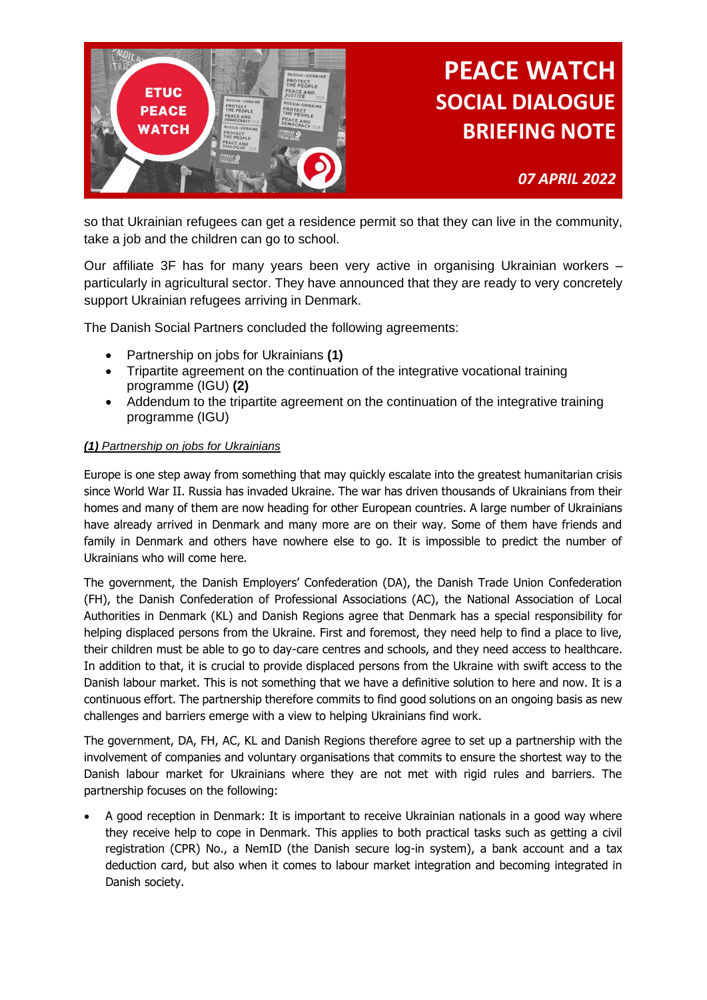

*07 APRIL 2022*

so that Ukrainian refugees can get a residence permit so that they can live in the community, take a job and the children can go to school.

Our affiliate 3F has for many years been very active in organising Ukrainian workers – particularly in agricultural sector. They have announced that they are ready to very concretely support Ukrainian refugees arriving in Denmark.

The Danish Social Partners concluded the following agreements:

- Partnership on jobs for Ukrainians **(1)**
- Tripartite agreement on the continuation of the integrative vocational training programme (IGU) **(2)**
- Addendum to the tripartite agreement on the continuation of the integrative training programme (IGU)

#### *(1) Partnership on jobs for Ukrainians*

Europe is one step away from something that may quickly escalate into the greatest humanitarian crisis since World War II. Russia has invaded Ukraine. The war has driven thousands of Ukrainians from their homes and many of them are now heading for other European countries. A large number of Ukrainians have already arrived in Denmark and many more are on their way. Some of them have friends and family in Denmark and others have nowhere else to go. It is impossible to predict the number of Ukrainians who will come here.

The government, the Danish Employers' Confederation (DA), the Danish Trade Union Confederation (FH), the Danish Confederation of Professional Associations (AC), the National Association of Local Authorities in Denmark (KL) and Danish Regions agree that Denmark has a special responsibility for helping displaced persons from the Ukraine. First and foremost, they need help to find a place to live, their children must be able to go to day-care centres and schools, and they need access to healthcare. In addition to that, it is crucial to provide displaced persons from the Ukraine with swift access to the Danish labour market. This is not something that we have a definitive solution to here and now. It is a continuous effort. The partnership therefore commits to find good solutions on an ongoing basis as new challenges and barriers emerge with a view to helping Ukrainians find work.

The government, DA, FH, AC, KL and Danish Regions therefore agree to set up a partnership with the involvement of companies and voluntary organisations that commits to ensure the shortest way to the Danish labour market for Ukrainians where they are not met with rigid rules and barriers. The partnership focuses on the following:

• A good reception in Denmark: It is important to receive Ukrainian nationals in a good way where they receive help to cope in Denmark. This applies to both practical tasks such as getting a civil registration (CPR) No., a NemID (the Danish secure log-in system), a bank account and a tax deduction card, but also when it comes to labour market integration and becoming integrated in Danish society.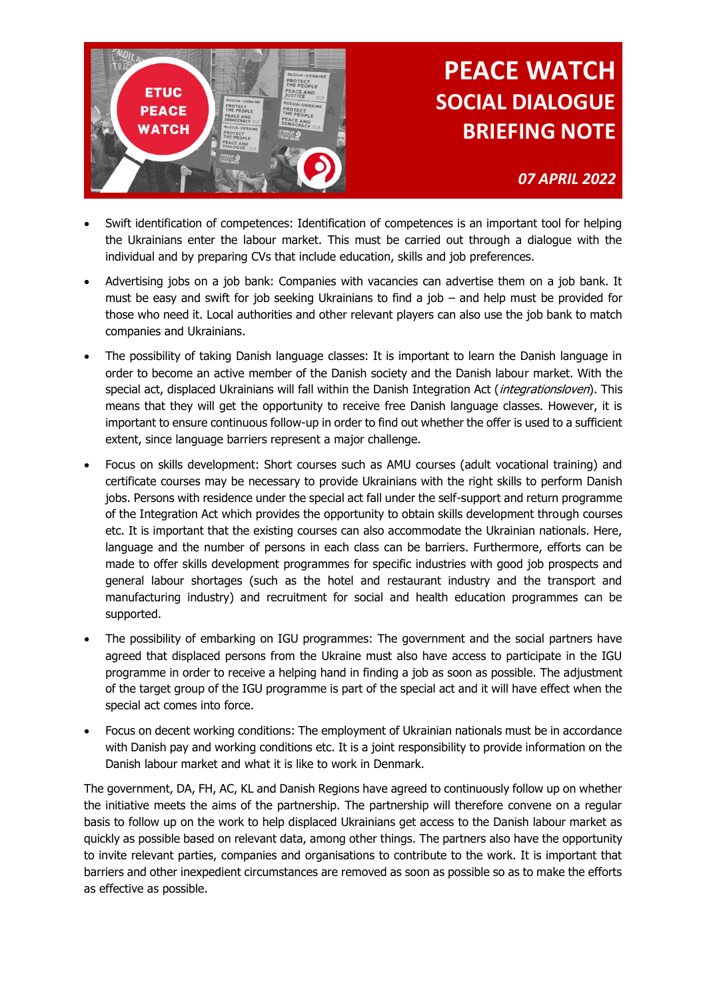

*07 APRIL 2022*

- Swift identification of competences: Identification of competences is an important tool for helping the Ukrainians enter the labour market. This must be carried out through a dialogue with the individual and by preparing CVs that include education, skills and job preferences.
- Advertising jobs on a job bank: Companies with vacancies can advertise them on a job bank. It must be easy and swift for job seeking Ukrainians to find a job – and help must be provided for those who need it. Local authorities and other relevant players can also use the job bank to match companies and Ukrainians.
- The possibility of taking Danish language classes: It is important to learn the Danish language in order to become an active member of the Danish society and the Danish labour market. With the special act, displaced Ukrainians will fall within the Danish Integration Act (*integrationsloven*). This means that they will get the opportunity to receive free Danish language classes. However, it is important to ensure continuous follow-up in order to find out whether the offer is used to a sufficient extent, since language barriers represent a major challenge.
- Focus on skills development: Short courses such as AMU courses (adult vocational training) and certificate courses may be necessary to provide Ukrainians with the right skills to perform Danish jobs. Persons with residence under the special act fall under the self-support and return programme of the Integration Act which provides the opportunity to obtain skills development through courses etc. It is important that the existing courses can also accommodate the Ukrainian nationals. Here, language and the number of persons in each class can be barriers. Furthermore, efforts can be made to offer skills development programmes for specific industries with good job prospects and general labour shortages (such as the hotel and restaurant industry and the transport and manufacturing industry) and recruitment for social and health education programmes can be supported.
- The possibility of embarking on IGU programmes: The government and the social partners have agreed that displaced persons from the Ukraine must also have access to participate in the IGU programme in order to receive a helping hand in finding a job as soon as possible. The adjustment of the target group of the IGU programme is part of the special act and it will have effect when the special act comes into force.
- Focus on decent working conditions: The employment of Ukrainian nationals must be in accordance with Danish pay and working conditions etc. It is a joint responsibility to provide information on the Danish labour market and what it is like to work in Denmark.

The government, DA, FH, AC, KL and Danish Regions have agreed to continuously follow up on whether the initiative meets the aims of the partnership. The partnership will therefore convene on a regular basis to follow up on the work to help displaced Ukrainians get access to the Danish labour market as quickly as possible based on relevant data, among other things. The partners also have the opportunity to invite relevant parties, companies and organisations to contribute to the work. It is important that barriers and other inexpedient circumstances are removed as soon as possible so as to make the efforts as effective as possible.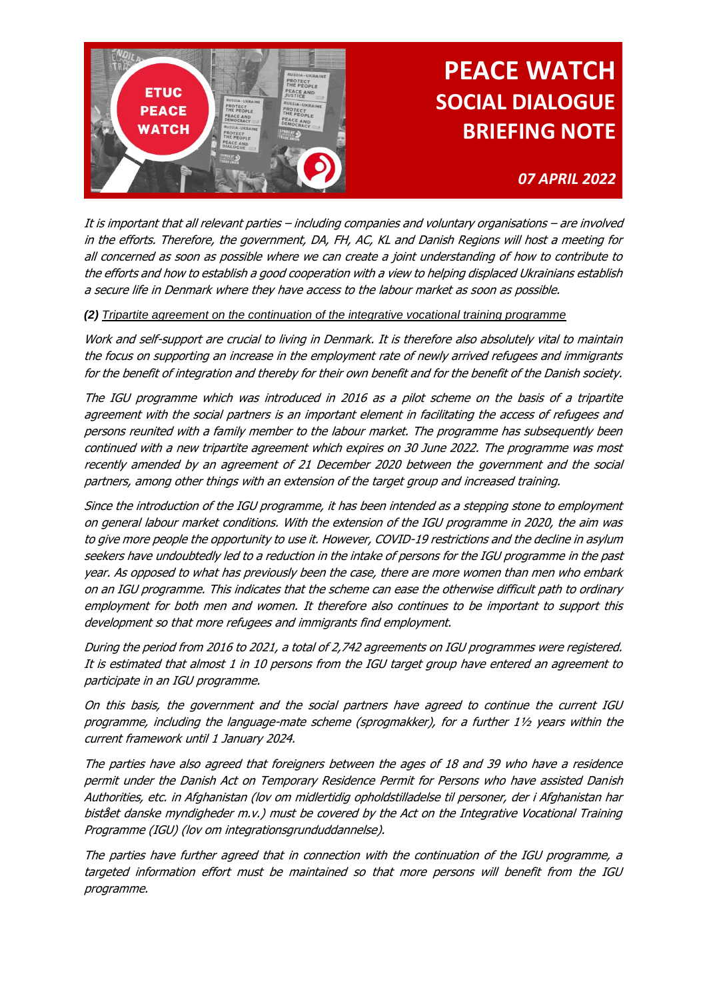

### *07 APRIL 2022*

It is important that all relevant parties – including companies and voluntary organisations – are involved in the efforts. Therefore, the government, DA, FH, AC, KL and Danish Regions will host a meeting for all concerned as soon as possible where we can create a joint understanding of how to contribute to the efforts and how to establish a good cooperation with a view to helping displaced Ukrainians establish a secure life in Denmark where they have access to the labour market as soon as possible.

#### *(2) Tripartite agreement on the continuation of the integrative vocational training programme*

Work and self-support are crucial to living in Denmark. It is therefore also absolutely vital to maintain the focus on supporting an increase in the employment rate of newly arrived refugees and immigrants for the benefit of integration and thereby for their own benefit and for the benefit of the Danish society.

The IGU programme which was introduced in 2016 as a pilot scheme on the basis of a tripartite agreement with the social partners is an important element in facilitating the access of refugees and persons reunited with a family member to the labour market. The programme has subsequently been continued with a new tripartite agreement which expires on 30 June 2022. The programme was most recently amended by an agreement of 21 December 2020 between the government and the social partners, among other things with an extension of the target group and increased training.

Since the introduction of the IGU programme, it has been intended as a stepping stone to employment on general labour market conditions. With the extension of the IGU programme in 2020, the aim was to give more people the opportunity to use it. However, COVID-19 restrictions and the decline in asylum seekers have undoubtedly led to a reduction in the intake of persons for the IGU programme in the past year. As opposed to what has previously been the case, there are more women than men who embark on an IGU programme. This indicates that the scheme can ease the otherwise difficult path to ordinary employment for both men and women. It therefore also continues to be important to support this development so that more refugees and immigrants find employment.

During the period from 2016 to 2021, a total of 2,742 agreements on IGU programmes were registered. It is estimated that almost 1 in 10 persons from the IGU target group have entered an agreement to participate in an IGU programme.

On this basis, the government and the social partners have agreed to continue the current IGU programme, including the language-mate scheme (sprogmakker), for a further 1½ years within the current framework until 1 January 2024.

The parties have also agreed that foreigners between the ages of 18 and 39 who have a residence permit under the Danish Act on Temporary Residence Permit for Persons who have assisted Danish Authorities, etc. in Afghanistan (lov om midlertidig opholdstilladelse til personer, der i Afghanistan har bistået danske myndigheder m.v.) must be covered by the Act on the Integrative Vocational Training Programme (IGU) (lov om integrationsgrunduddannelse).

The parties have further agreed that in connection with the continuation of the IGU programme, a targeted information effort must be maintained so that more persons will benefit from the IGU programme.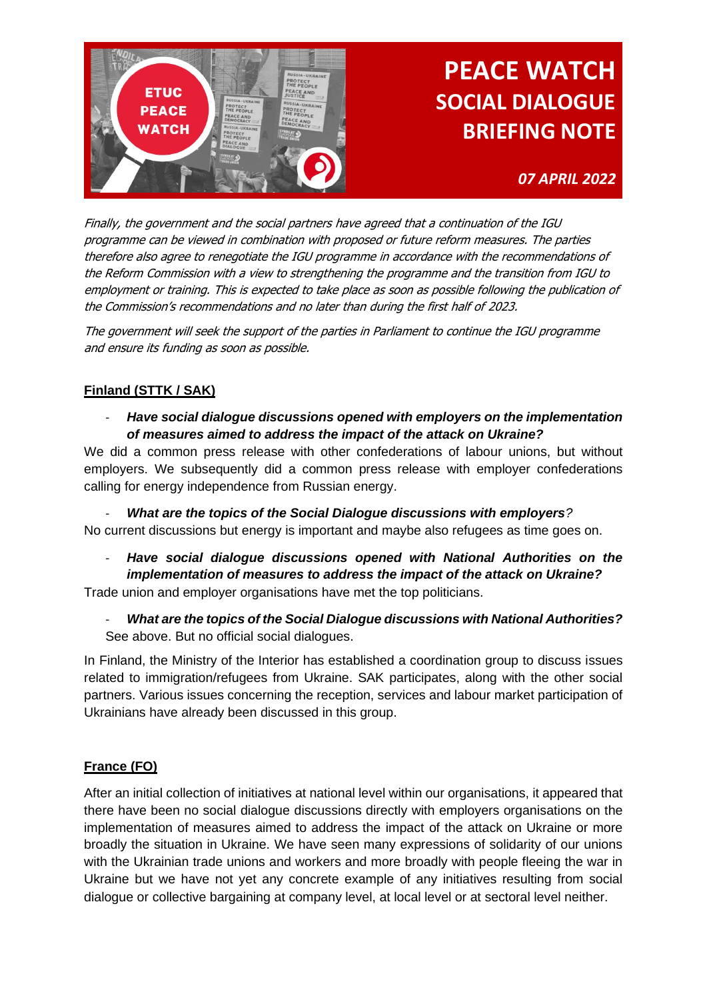

### *07 APRIL 2022*

Finally, the government and the social partners have agreed that a continuation of the IGU programme can be viewed in combination with proposed or future reform measures. The parties therefore also agree to renegotiate the IGU programme in accordance with the recommendations of the Reform Commission with a view to strengthening the programme and the transition from IGU to employment or training. This is expected to take place as soon as possible following the publication of the Commission's recommendations and no later than during the first half of 2023.

The government will seek the support of the parties in Parliament to continue the IGU programme and ensure its funding as soon as possible.

#### **Finland (STTK / SAK)**

- *Have social dialogue discussions opened with employers on the implementation of measures aimed to address the impact of the attack on Ukraine?* 

We did a common press release with other confederations of labour unions, but without employers. We subsequently did a common press release with employer confederations calling for energy independence from Russian energy.

- *What are the topics of the Social Dialogue discussions with employers?*  No current discussions but energy is important and maybe also refugees as time goes on.

- *Have social dialogue discussions opened with National Authorities on the implementation of measures to address the impact of the attack on Ukraine?* Trade union and employer organisations have met the top politicians.

- *What are the topics of the Social Dialogue discussions with National Authorities?* See above. But no official social dialogues.

In Finland, the Ministry of the Interior has established a coordination group to discuss issues related to immigration/refugees from Ukraine. SAK participates, along with the other social partners. Various issues concerning the reception, services and labour market participation of Ukrainians have already been discussed in this group.

#### **France (FO)**

After an initial collection of initiatives at national level within our organisations, it appeared that there have been no social dialogue discussions directly with employers organisations on the implementation of measures aimed to address the impact of the attack on Ukraine or more broadly the situation in Ukraine. We have seen many expressions of solidarity of our unions with the Ukrainian trade unions and workers and more broadly with people fleeing the war in Ukraine but we have not yet any concrete example of any initiatives resulting from social dialogue or collective bargaining at company level, at local level or at sectoral level neither.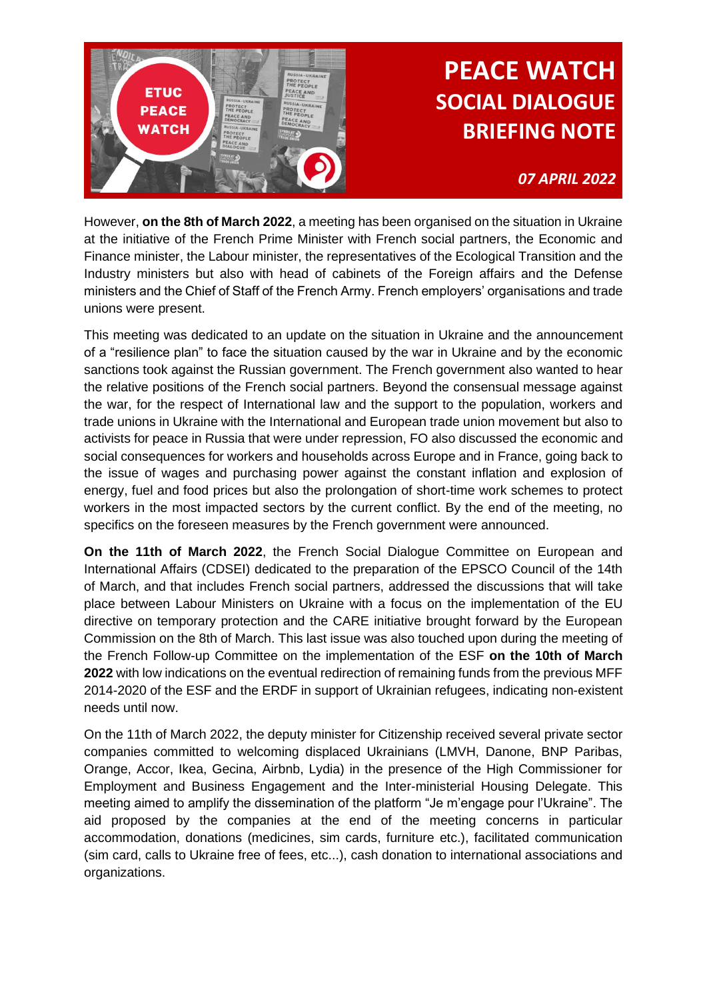

### *07 APRIL 2022*

However, **on the 8th of March 2022**, a meeting has been organised on the situation in Ukraine at the initiative of the French Prime Minister with French social partners, the Economic and Finance minister, the Labour minister, the representatives of the Ecological Transition and the Industry ministers but also with head of cabinets of the Foreign affairs and the Defense ministers and the Chief of Staff of the French Army. French employers' organisations and trade unions were present.

This meeting was dedicated to an update on the situation in Ukraine and the announcement of a "resilience plan" to face the situation caused by the war in Ukraine and by the economic sanctions took against the Russian government. The French government also wanted to hear the relative positions of the French social partners. Beyond the consensual message against the war, for the respect of International law and the support to the population, workers and trade unions in Ukraine with the International and European trade union movement but also to activists for peace in Russia that were under repression, FO also discussed the economic and social consequences for workers and households across Europe and in France, going back to the issue of wages and purchasing power against the constant inflation and explosion of energy, fuel and food prices but also the prolongation of short-time work schemes to protect workers in the most impacted sectors by the current conflict. By the end of the meeting, no specifics on the foreseen measures by the French government were announced.

**On the 11th of March 2022**, the French Social Dialogue Committee on European and International Affairs (CDSEI) dedicated to the preparation of the EPSCO Council of the 14th of March, and that includes French social partners, addressed the discussions that will take place between Labour Ministers on Ukraine with a focus on the implementation of the EU directive on temporary protection and the CARE initiative brought forward by the European Commission on the 8th of March. This last issue was also touched upon during the meeting of the French Follow-up Committee on the implementation of the ESF **on the 10th of March 2022** with low indications on the eventual redirection of remaining funds from the previous MFF 2014-2020 of the ESF and the ERDF in support of Ukrainian refugees, indicating non-existent needs until now.

On the 11th of March 2022, the deputy minister for Citizenship received several private sector companies committed to welcoming displaced Ukrainians (LMVH, Danone, BNP Paribas, Orange, Accor, Ikea, Gecina, Airbnb, Lydia) in the presence of the High Commissioner for Employment and Business Engagement and the Inter-ministerial Housing Delegate. This meeting aimed to amplify the dissemination of the platform "Je m'engage pour l'Ukraine". The aid proposed by the companies at the end of the meeting concerns in particular accommodation, donations (medicines, sim cards, furniture etc.), facilitated communication (sim card, calls to Ukraine free of fees, etc...), cash donation to international associations and organizations.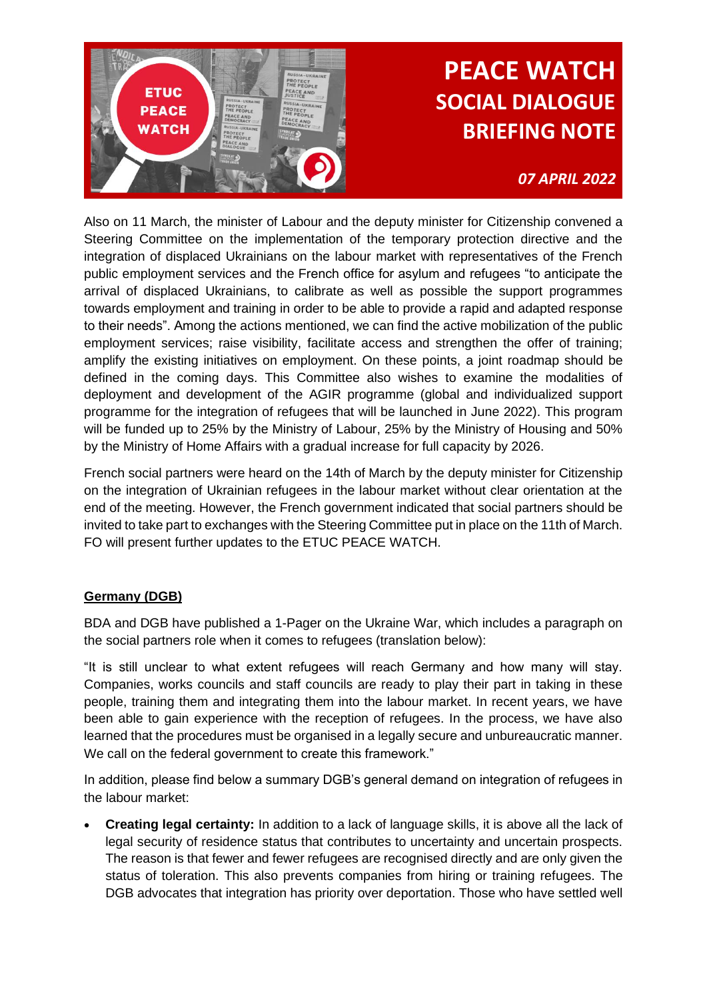

### *07 APRIL 2022*

Also on 11 March, the minister of Labour and the deputy minister for Citizenship convened a Steering Committee on the implementation of the temporary protection directive and the integration of displaced Ukrainians on the labour market with representatives of the French public employment services and the French office for asylum and refugees "to anticipate the arrival of displaced Ukrainians, to calibrate as well as possible the support programmes towards employment and training in order to be able to provide a rapid and adapted response to their needs". Among the actions mentioned, we can find the active mobilization of the public employment services; raise visibility, facilitate access and strengthen the offer of training; amplify the existing initiatives on employment. On these points, a joint roadmap should be defined in the coming days. This Committee also wishes to examine the modalities of deployment and development of the AGIR programme (global and individualized support programme for the integration of refugees that will be launched in June 2022). This program will be funded up to 25% by the Ministry of Labour, 25% by the Ministry of Housing and 50% by the Ministry of Home Affairs with a gradual increase for full capacity by 2026.

French social partners were heard on the 14th of March by the deputy minister for Citizenship on the integration of Ukrainian refugees in the labour market without clear orientation at the end of the meeting. However, the French government indicated that social partners should be invited to take part to exchanges with the Steering Committee put in place on the 11th of March. FO will present further updates to the ETUC PEACE WATCH.

#### **Germany (DGB)**

BDA and DGB have published a 1-Pager on the Ukraine War, which includes a paragraph on the social partners role when it comes to refugees (translation below):

"It is still unclear to what extent refugees will reach Germany and how many will stay. Companies, works councils and staff councils are ready to play their part in taking in these people, training them and integrating them into the labour market. In recent years, we have been able to gain experience with the reception of refugees. In the process, we have also learned that the procedures must be organised in a legally secure and unbureaucratic manner. We call on the federal government to create this framework."

In addition, please find below a summary DGB's general demand on integration of refugees in the labour market:

• **Creating legal certainty:** In addition to a lack of language skills, it is above all the lack of legal security of residence status that contributes to uncertainty and uncertain prospects. The reason is that fewer and fewer refugees are recognised directly and are only given the status of toleration. This also prevents companies from hiring or training refugees. The DGB advocates that integration has priority over deportation. Those who have settled well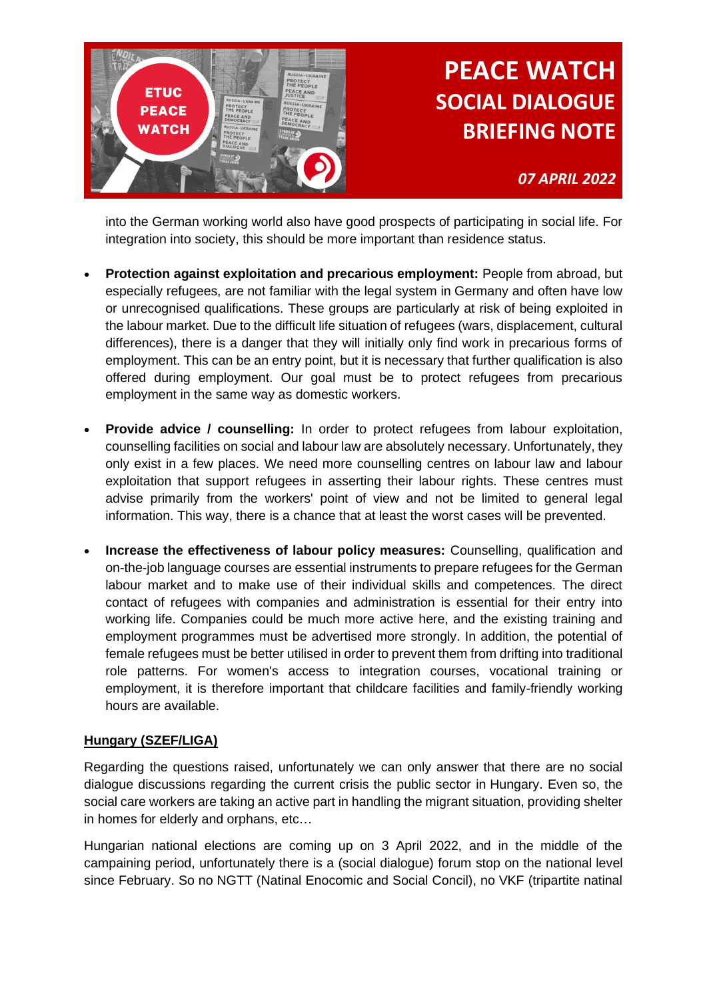

*07 APRIL 2022*

into the German working world also have good prospects of participating in social life. For integration into society, this should be more important than residence status.

- **Protection against exploitation and precarious employment:** People from abroad, but especially refugees, are not familiar with the legal system in Germany and often have low or unrecognised qualifications. These groups are particularly at risk of being exploited in the labour market. Due to the difficult life situation of refugees (wars, displacement, cultural differences), there is a danger that they will initially only find work in precarious forms of employment. This can be an entry point, but it is necessary that further qualification is also offered during employment. Our goal must be to protect refugees from precarious employment in the same way as domestic workers.
- **Provide advice / counselling:** In order to protect refugees from labour exploitation, counselling facilities on social and labour law are absolutely necessary. Unfortunately, they only exist in a few places. We need more counselling centres on labour law and labour exploitation that support refugees in asserting their labour rights. These centres must advise primarily from the workers' point of view and not be limited to general legal information. This way, there is a chance that at least the worst cases will be prevented.
- **Increase the effectiveness of labour policy measures:** Counselling, qualification and on-the-job language courses are essential instruments to prepare refugees for the German labour market and to make use of their individual skills and competences. The direct contact of refugees with companies and administration is essential for their entry into working life. Companies could be much more active here, and the existing training and employment programmes must be advertised more strongly. In addition, the potential of female refugees must be better utilised in order to prevent them from drifting into traditional role patterns. For women's access to integration courses, vocational training or employment, it is therefore important that childcare facilities and family-friendly working hours are available.

#### **Hungary (SZEF/LIGA)**

Regarding the questions raised, unfortunately we can only answer that there are no social dialogue discussions regarding the current crisis the public sector in Hungary. Even so, the social care workers are taking an active part in handling the migrant situation, providing shelter in homes for elderly and orphans, etc…

Hungarian national elections are coming up on 3 April 2022, and in the middle of the campaining period, unfortunately there is a (social dialogue) forum stop on the national level since February. So no NGTT (Natinal Enocomic and Social Concil), no VKF (tripartite natinal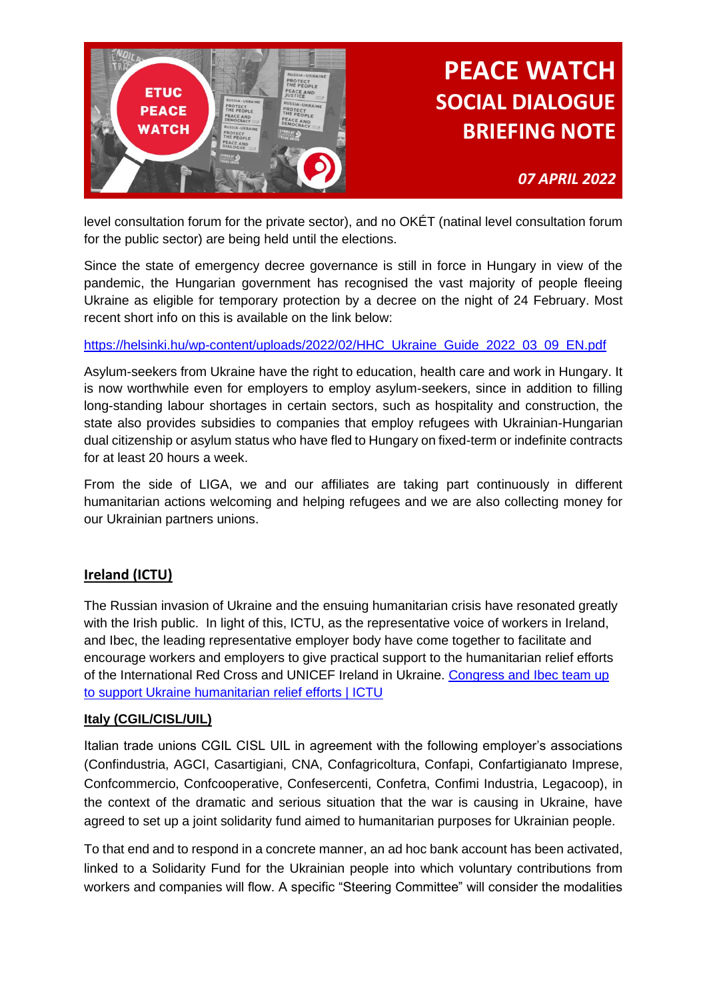

*07 APRIL 2022*

level consultation forum for the private sector), and no OKÉT (natinal level consultation forum for the public sector) are being held until the elections.

Since the state of emergency decree governance is still in force in Hungary in view of the pandemic, the Hungarian government has recognised the vast majority of people fleeing Ukraine as eligible for temporary protection by a decree on the night of 24 February. Most recent short info on this is available on the link below:

#### [https://helsinki.hu/wp-content/uploads/2022/02/HHC\\_Ukraine\\_Guide\\_2022\\_03\\_09\\_EN.pdf](https://helsinki.hu/wp-content/uploads/2022/02/HHC_Ukraine_Guide_2022_03_09_EN.pdf)

Asylum-seekers from Ukraine have the right to education, health care and work in Hungary. It is now worthwhile even for employers to employ asylum-seekers, since in addition to filling long-standing labour shortages in certain sectors, such as hospitality and construction, the state also provides subsidies to companies that employ refugees with Ukrainian-Hungarian dual citizenship or asylum status who have fled to Hungary on fixed-term or indefinite contracts for at least 20 hours a week.

From the side of LIGA, we and our affiliates are taking part continuously in different humanitarian actions welcoming and helping refugees and we are also collecting money for our Ukrainian partners unions.

#### **Ireland (ICTU)**

The Russian invasion of Ukraine and the ensuing humanitarian crisis have resonated greatly with the Irish public. In light of this, ICTU, as the representative voice of workers in Ireland, and Ibec, the leading representative employer body have come together to facilitate and encourage workers and employers to give practical support to the humanitarian relief efforts of the International Red Cross and UNICEF Ireland in Ukraine. [Congress and Ibec team up](https://www.ictu.ie/news/congress-and-ibec-team-support-ukraine-humanitarian-relief-efforts)  [to support Ukraine humanitarian relief efforts | ICTU](https://www.ictu.ie/news/congress-and-ibec-team-support-ukraine-humanitarian-relief-efforts)

#### **Italy (CGIL/CISL/UIL)**

Italian trade unions CGIL CISL UIL in agreement with the following employer's associations (Confindustria, AGCI, Casartigiani, CNA, Confagricoltura, Confapi, Confartigianato Imprese, Confcommercio, Confcooperative, Confesercenti, Confetra, Confimi Industria, Legacoop), in the context of the dramatic and serious situation that the war is causing in Ukraine, have agreed to set up a joint solidarity fund aimed to humanitarian purposes for Ukrainian people.

To that end and to respond in a concrete manner, an ad hoc bank account has been activated, linked to a Solidarity Fund for the Ukrainian people into which voluntary contributions from workers and companies will flow. A specific "Steering Committee" will consider the modalities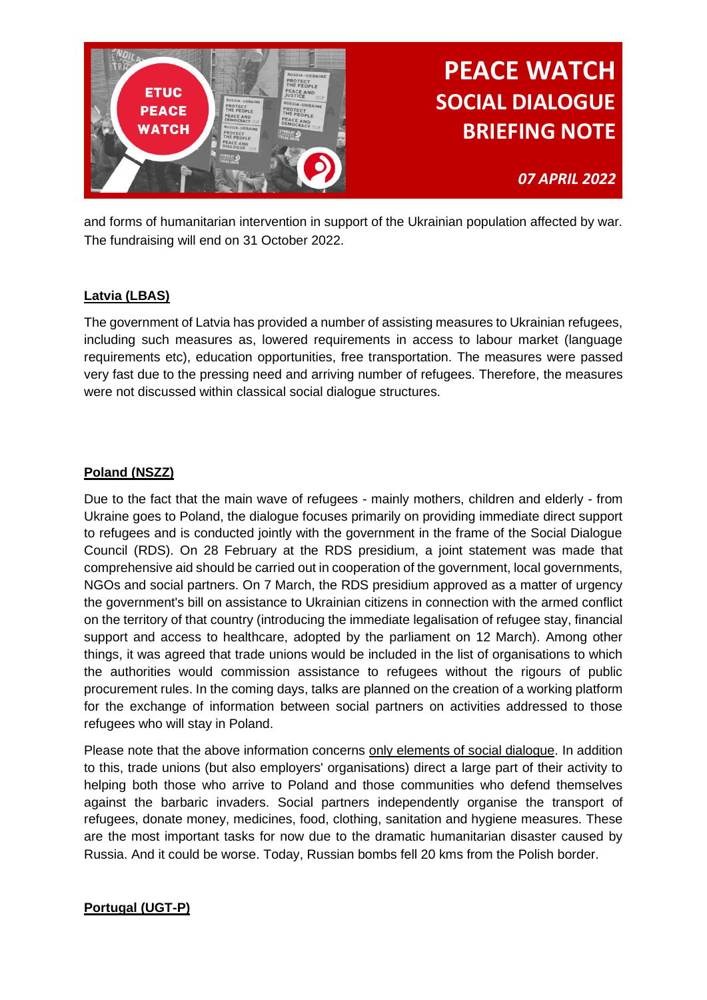

*07 APRIL 2022*

and forms of humanitarian intervention in support of the Ukrainian population affected by war. The fundraising will end on 31 October 2022.

#### **Latvia (LBAS)**

The government of Latvia has provided a number of assisting measures to Ukrainian refugees, including such measures as, lowered requirements in access to labour market (language requirements etc), education opportunities, free transportation. The measures were passed very fast due to the pressing need and arriving number of refugees. Therefore, the measures were not discussed within classical social dialogue structures.

### **Poland (NSZZ)**

Due to the fact that the main wave of refugees - mainly mothers, children and elderly - from Ukraine goes to Poland, the dialogue focuses primarily on providing immediate direct support to refugees and is conducted jointly with the government in the frame of the Social Dialogue Council (RDS). On 28 February at the RDS presidium, a joint statement was made that comprehensive aid should be carried out in cooperation of the government, local governments, NGOs and social partners. On 7 March, the RDS presidium approved as a matter of urgency the government's bill on assistance to Ukrainian citizens in connection with the armed conflict on the territory of that country (introducing the immediate legalisation of refugee stay, financial support and access to healthcare, adopted by the parliament on 12 March). Among other things, it was agreed that trade unions would be included in the list of organisations to which the authorities would commission assistance to refugees without the rigours of public procurement rules. In the coming days, talks are planned on the creation of a working platform for the exchange of information between social partners on activities addressed to those refugees who will stay in Poland.

Please note that the above information concerns only elements of social dialogue. In addition to this, trade unions (but also employers' organisations) direct a large part of their activity to helping both those who arrive to Poland and those communities who defend themselves against the barbaric invaders. Social partners independently organise the transport of refugees, donate money, medicines, food, clothing, sanitation and hygiene measures. These are the most important tasks for now due to the dramatic humanitarian disaster caused by Russia. And it could be worse. Today, Russian bombs fell 20 kms from the Polish border.

#### **Portugal (UGT-P)**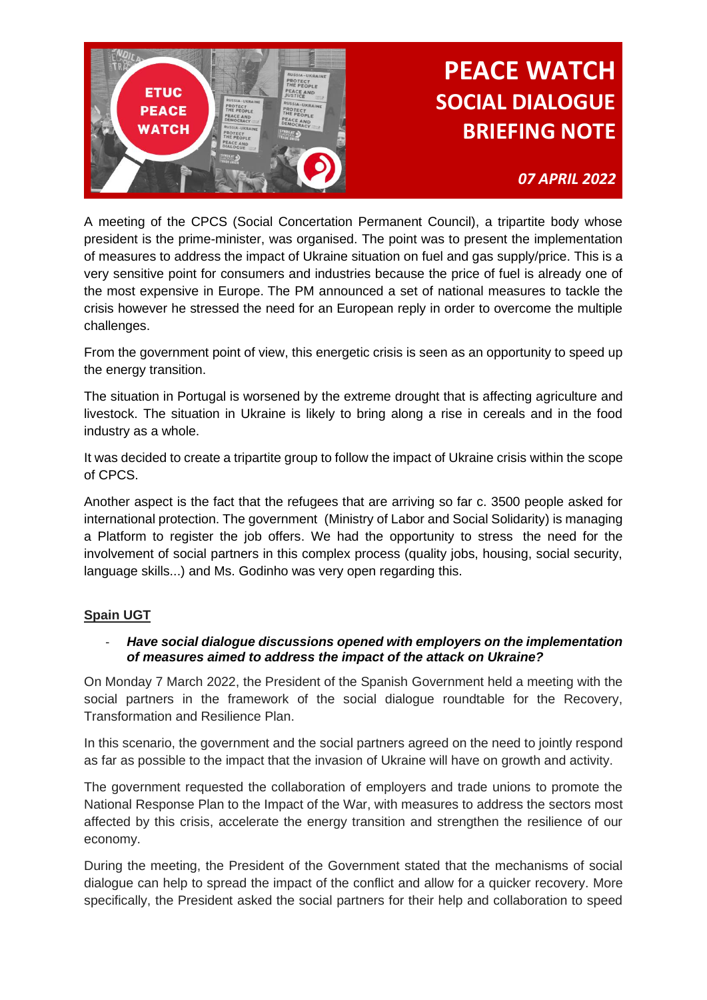

*07 APRIL 2022*

A meeting of the CPCS (Social Concertation Permanent Council), a tripartite body whose president is the prime-minister, was organised. The point was to present the implementation of measures to address the impact of Ukraine situation on fuel and gas supply/price. This is a very sensitive point for consumers and industries because the price of fuel is already one of the most expensive in Europe. The PM announced a set of national measures to tackle the crisis however he stressed the need for an European reply in order to overcome the multiple challenges.

From the government point of view, this energetic crisis is seen as an opportunity to speed up the energy transition.

The situation in Portugal is worsened by the extreme drought that is affecting agriculture and livestock. The situation in Ukraine is likely to bring along a rise in cereals and in the food industry as a whole.

It was decided to create a tripartite group to follow the impact of Ukraine crisis within the scope of CPCS.

Another aspect is the fact that the refugees that are arriving so far c. 3500 people asked for international protection. The government (Ministry of Labor and Social Solidarity) is managing a Platform to register the job offers. We had the opportunity to stress the need for the involvement of social partners in this complex process (quality jobs, housing, social security, language skills...) and Ms. Godinho was very open regarding this.

#### **Spain UGT**

#### - *Have social dialogue discussions opened with employers on the implementation of measures aimed to address the impact of the attack on Ukraine?*

On Monday 7 March 2022, the President of the Spanish Government held a meeting with the social partners in the framework of the social dialogue roundtable for the Recovery, Transformation and Resilience Plan.

In this scenario, the government and the social partners agreed on the need to jointly respond as far as possible to the impact that the invasion of Ukraine will have on growth and activity.

The government requested the collaboration of employers and trade unions to promote the National Response Plan to the Impact of the War, with measures to address the sectors most affected by this crisis, accelerate the energy transition and strengthen the resilience of our economy.

During the meeting, the President of the Government stated that the mechanisms of social dialogue can help to spread the impact of the conflict and allow for a quicker recovery. More specifically, the President asked the social partners for their help and collaboration to speed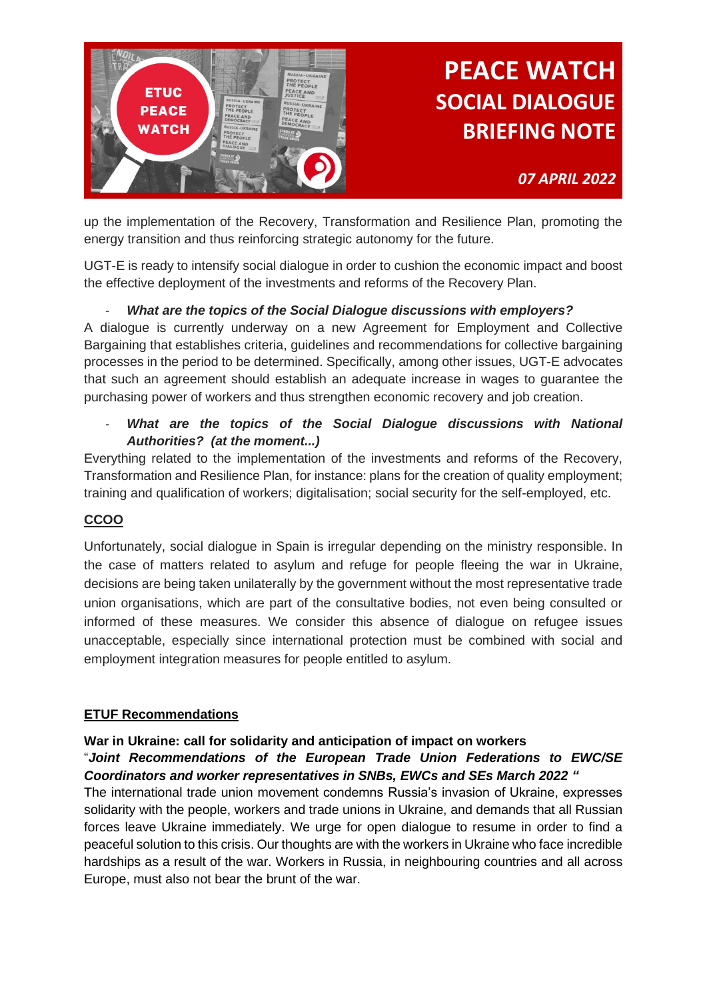

*07 APRIL 2022*

up the implementation of the Recovery, Transformation and Resilience Plan, promoting the energy transition and thus reinforcing strategic autonomy for the future.

UGT-E is ready to intensify social dialogue in order to cushion the economic impact and boost the effective deployment of the investments and reforms of the Recovery Plan.

### - *What are the topics of the Social Dialogue discussions with employers?*

A dialogue is currently underway on a new Agreement for Employment and Collective Bargaining that establishes criteria, guidelines and recommendations for collective bargaining processes in the period to be determined. Specifically, among other issues, UGT-E advocates that such an agreement should establish an adequate increase in wages to guarantee the purchasing power of workers and thus strengthen economic recovery and job creation.

- *What are the topics of the Social Dialogue discussions with National Authorities? (at the moment...)*

Everything related to the implementation of the investments and reforms of the Recovery, Transformation and Resilience Plan, for instance: plans for the creation of quality employment; training and qualification of workers; digitalisation; social security for the self-employed, etc.

### **CCOO**

Unfortunately, social dialogue in Spain is irregular depending on the ministry responsible. In the case of matters related to asylum and refuge for people fleeing the war in Ukraine, decisions are being taken unilaterally by the government without the most representative trade union organisations, which are part of the consultative bodies, not even being consulted or informed of these measures. We consider this absence of dialogue on refugee issues unacceptable, especially since international protection must be combined with social and employment integration measures for people entitled to asylum.

### **ETUF Recommendations**

#### **War in Ukraine: call for solidarity and anticipation of impact on workers**

#### "*Joint Recommendations of the European Trade Union Federations to EWC/SE Coordinators and worker representatives in SNBs, EWCs and SEs March 2022 "*

The international trade union movement condemns Russia's invasion of Ukraine, expresses solidarity with the people, workers and trade unions in Ukraine, and demands that all Russian forces leave Ukraine immediately. We urge for open dialogue to resume in order to find a peaceful solution to this crisis. Our thoughts are with the workers in Ukraine who face incredible hardships as a result of the war. Workers in Russia, in neighbouring countries and all across Europe, must also not bear the brunt of the war.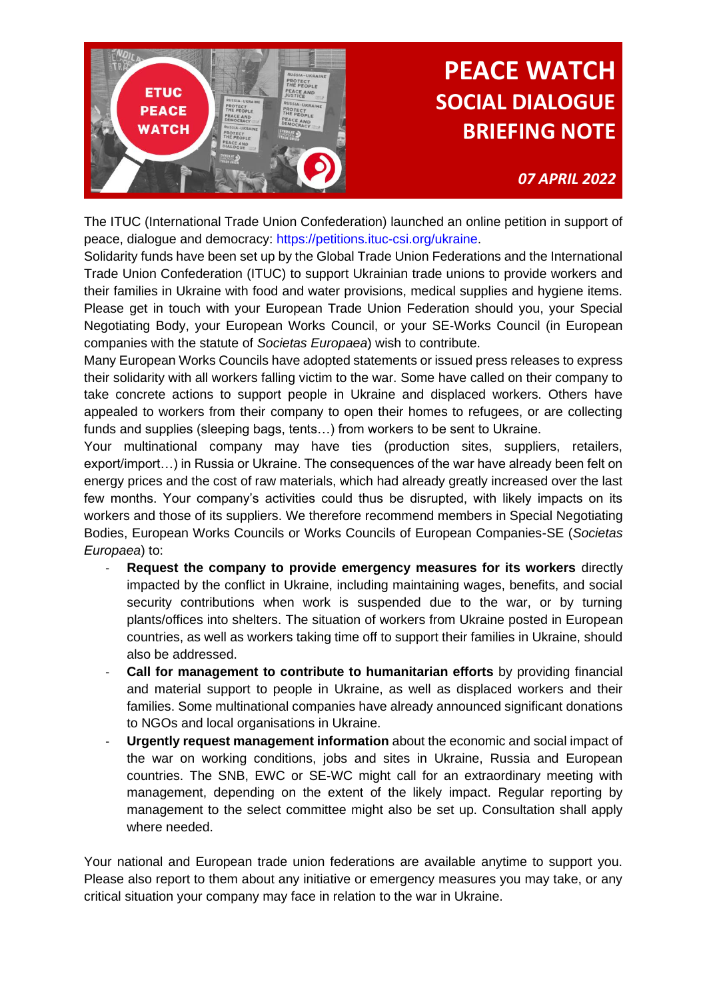

*07 APRIL 2022*

The ITUC (International Trade Union Confederation) launched an online petition in support of peace, dialogue and democracy: https://petitions.ituc-csi.org/ukraine.

Solidarity funds have been set up by the Global Trade Union Federations and the International Trade Union Confederation (ITUC) to support Ukrainian trade unions to provide workers and their families in Ukraine with food and water provisions, medical supplies and hygiene items. Please get in touch with your European Trade Union Federation should you, your Special Negotiating Body, your European Works Council, or your SE-Works Council (in European companies with the statute of *Societas Europaea*) wish to contribute.

Many European Works Councils have adopted statements or issued press releases to express their solidarity with all workers falling victim to the war. Some have called on their company to take concrete actions to support people in Ukraine and displaced workers. Others have appealed to workers from their company to open their homes to refugees, or are collecting funds and supplies (sleeping bags, tents…) from workers to be sent to Ukraine.

Your multinational company may have ties (production sites, suppliers, retailers, export/import…) in Russia or Ukraine. The consequences of the war have already been felt on energy prices and the cost of raw materials, which had already greatly increased over the last few months. Your company's activities could thus be disrupted, with likely impacts on its workers and those of its suppliers. We therefore recommend members in Special Negotiating Bodies, European Works Councils or Works Councils of European Companies-SE (*Societas Europaea*) to:

- **Request the company to provide emergency measures for its workers** directly impacted by the conflict in Ukraine, including maintaining wages, benefits, and social security contributions when work is suspended due to the war, or by turning plants/offices into shelters. The situation of workers from Ukraine posted in European countries, as well as workers taking time off to support their families in Ukraine, should also be addressed.
- **Call for management to contribute to humanitarian efforts** by providing financial and material support to people in Ukraine, as well as displaced workers and their families. Some multinational companies have already announced significant donations to NGOs and local organisations in Ukraine.
- **Urgently request management information** about the economic and social impact of the war on working conditions, jobs and sites in Ukraine, Russia and European countries. The SNB, EWC or SE-WC might call for an extraordinary meeting with management, depending on the extent of the likely impact. Regular reporting by management to the select committee might also be set up. Consultation shall apply where needed.

Your national and European trade union federations are available anytime to support you. Please also report to them about any initiative or emergency measures you may take, or any critical situation your company may face in relation to the war in Ukraine.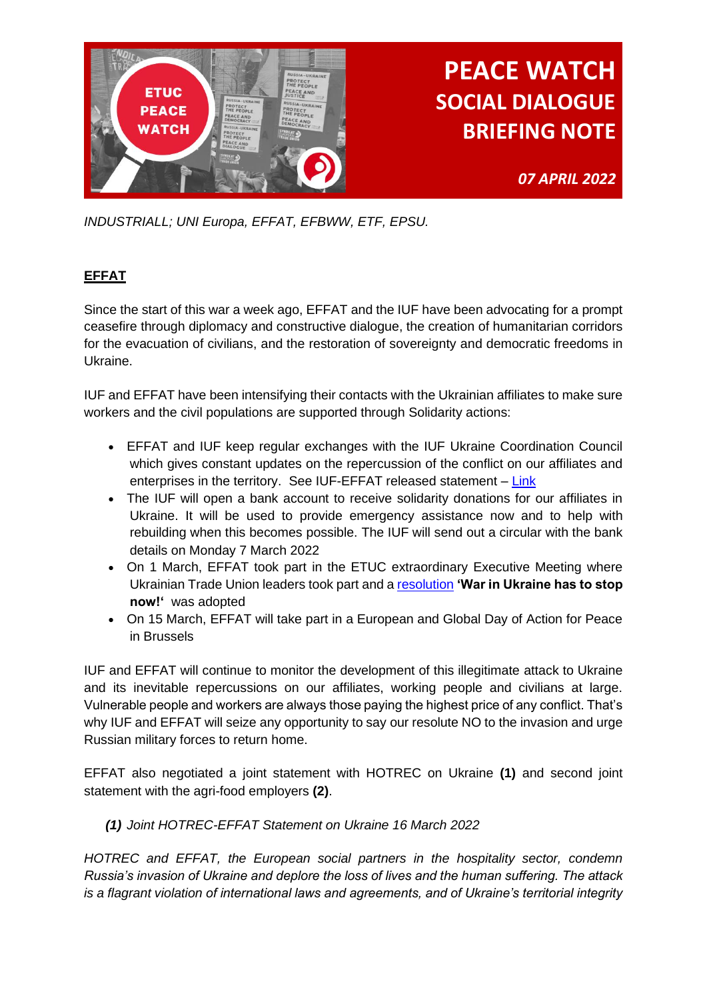

*07 APRIL 2022*

*INDUSTRIALL; UNI Europa, EFFAT, EFBWW, ETF, EPSU.*

### **EFFAT**

Since the start of this war a week ago, EFFAT and the IUF have been advocating for a prompt ceasefire through diplomacy and constructive dialogue, the creation of humanitarian corridors for the evacuation of civilians, and the restoration of sovereignty and democratic freedoms in Ukraine.

IUF and EFFAT have been intensifying their contacts with the Ukrainian affiliates to make sure workers and the civil populations are supported through Solidarity actions:

- EFFAT and IUF keep regular exchanges with the IUF Ukraine Coordination Council which gives constant updates on the repercussion of the conflict on our affiliates and enterprises in the territory. See IUF-EFFAT released statement - [Link](https://eur01.safelinks.protection.outlook.com/?url=https%3A%2F%2Fwww.iuf.org%2Fnews%2Fiuf-ukraine-coordination-council-statement%2F&data=04%7C01%7Crfitzgerald%40ETUC.ORG%7Cdd35aba51d61415b616108da0664dc78%7C7a57d45075f34a4da90dac04a367b91a%7C0%7C0%7C637829327678234688%7CUnknown%7CTWFpbGZsb3d8eyJWIjoiMC4wLjAwMDAiLCJQIjoiV2luMzIiLCJBTiI6Ik1haWwiLCJXVCI6Mn0%3D%7C2000&sdata=uG4der323aigKMk75XJMnC2Zx6JpjtqHgtqQoC9HNmE%3D&reserved=0)
- The IUF will open a bank account to receive solidarity donations for our affiliates in Ukraine. It will be used to provide emergency assistance now and to help with rebuilding when this becomes possible. The IUF will send out a circular with the bank details on Monday 7 March 2022
- On 1 March, EFFAT took part in the ETUC extraordinary Executive Meeting where Ukrainian Trade Union leaders took part and [a resolution](https://eur01.safelinks.protection.outlook.com/?url=https%3A%2F%2Feffat.org%2Fwp-content%2Fuploads%2F2022%2F03%2FFinal-EN-ETUC-call-for-action-War-in-Ukraine-has-to-stop-now-final_0.pdf&data=04%7C01%7Crfitzgerald%40ETUC.ORG%7Cdd35aba51d61415b616108da0664dc78%7C7a57d45075f34a4da90dac04a367b91a%7C0%7C0%7C637829327678234688%7CUnknown%7CTWFpbGZsb3d8eyJWIjoiMC4wLjAwMDAiLCJQIjoiV2luMzIiLCJBTiI6Ik1haWwiLCJXVCI6Mn0%3D%7C2000&sdata=mvAt4%2BAo%2FyhmCmZZ1yD2YIVE%2Bf5al3Hpzwtxi174E6w%3D&reserved=0) **'War in Ukraine has to stop now!'** was adopted
- On 15 March, EFFAT will take part in a European and Global Day of Action for Peace in Brussels

IUF and EFFAT will continue to monitor the development of this illegitimate attack to Ukraine and its inevitable repercussions on our affiliates, working people and civilians at large. Vulnerable people and workers are always those paying the highest price of any conflict. That's why IUF and EFFAT will seize any opportunity to say our resolute NO to the invasion and urge Russian military forces to return home.

EFFAT also negotiated a joint statement with HOTREC on Ukraine **(1)** and second joint statement with the agri-food employers **(2)**.

*(1) Joint HOTREC-EFFAT Statement on Ukraine 16 March 2022* 

*HOTREC and EFFAT, the European social partners in the hospitality sector, condemn Russia's invasion of Ukraine and deplore the loss of lives and the human suffering. The attack is a flagrant violation of international laws and agreements, and of Ukraine's territorial integrity*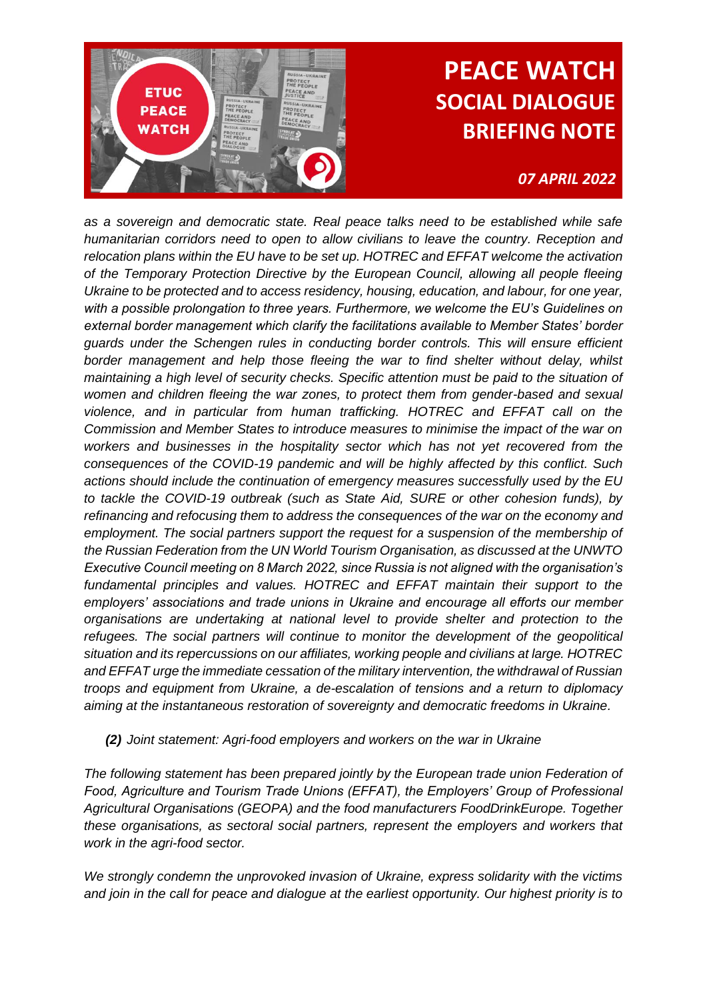

### *07 APRIL 2022*

*as a sovereign and democratic state. Real peace talks need to be established while safe humanitarian corridors need to open to allow civilians to leave the country. Reception and relocation plans within the EU have to be set up. HOTREC and EFFAT welcome the activation of the Temporary Protection Directive by the European Council, allowing all people fleeing Ukraine to be protected and to access residency, housing, education, and labour, for one year, with a possible prolongation to three years. Furthermore, we welcome the EU's Guidelines on external border management which clarify the facilitations available to Member States' border guards under the Schengen rules in conducting border controls. This will ensure efficient border management and help those fleeing the war to find shelter without delay, whilst maintaining a high level of security checks. Specific attention must be paid to the situation of women and children fleeing the war zones, to protect them from gender-based and sexual violence, and in particular from human trafficking. HOTREC and EFFAT call on the Commission and Member States to introduce measures to minimise the impact of the war on workers and businesses in the hospitality sector which has not yet recovered from the consequences of the COVID-19 pandemic and will be highly affected by this conflict. Such actions should include the continuation of emergency measures successfully used by the EU to tackle the COVID-19 outbreak (such as State Aid, SURE or other cohesion funds), by refinancing and refocusing them to address the consequences of the war on the economy and employment. The social partners support the request for a suspension of the membership of the Russian Federation from the UN World Tourism Organisation, as discussed at the UNWTO Executive Council meeting on 8 March 2022, since Russia is not aligned with the organisation's fundamental principles and values. HOTREC and EFFAT maintain their support to the employers' associations and trade unions in Ukraine and encourage all efforts our member organisations are undertaking at national level to provide shelter and protection to the refugees. The social partners will continue to monitor the development of the geopolitical situation and its repercussions on our affiliates, working people and civilians at large. HOTREC and EFFAT urge the immediate cessation of the military intervention, the withdrawal of Russian troops and equipment from Ukraine, a de-escalation of tensions and a return to diplomacy aiming at the instantaneous restoration of sovereignty and democratic freedoms in Ukraine.*

*(2) Joint statement: Agri-food employers and workers on the war in Ukraine* 

*The following statement has been prepared jointly by the European trade union Federation of Food, Agriculture and Tourism Trade Unions (EFFAT), the Employers' Group of Professional Agricultural Organisations (GEOPA) and the food manufacturers FoodDrinkEurope. Together these organisations, as sectoral social partners, represent the employers and workers that work in the agri-food sector.* 

*We strongly condemn the unprovoked invasion of Ukraine, express solidarity with the victims and join in the call for peace and dialogue at the earliest opportunity. Our highest priority is to*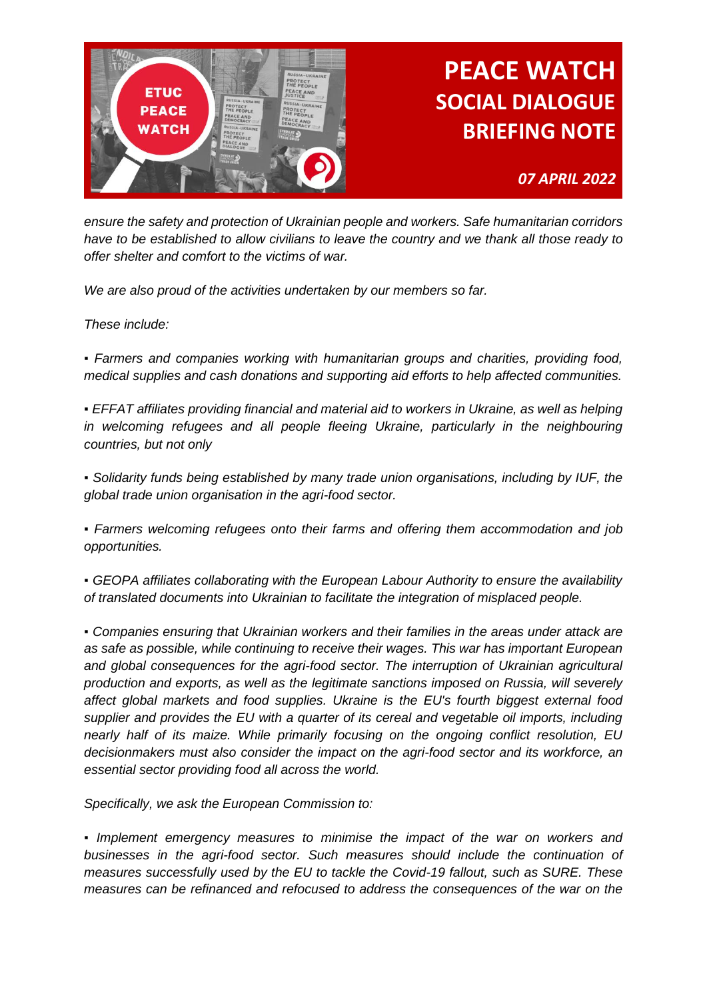

*07 APRIL 2022*

*ensure the safety and protection of Ukrainian people and workers. Safe humanitarian corridors have to be established to allow civilians to leave the country and we thank all those ready to offer shelter and comfort to the victims of war.* 

*We are also proud of the activities undertaken by our members so far.* 

*These include:* 

*▪ Farmers and companies working with humanitarian groups and charities, providing food, medical supplies and cash donations and supporting aid efforts to help affected communities.*

*• EFFAT affiliates providing financial and material aid to workers in Ukraine, as well as helping* in welcoming refugees and all people fleeing Ukraine, particularly in the neighbouring *countries, but not only* 

*▪ Solidarity funds being established by many trade union organisations, including by IUF, the global trade union organisation in the agri-food sector.* 

*▪ Farmers welcoming refugees onto their farms and offering them accommodation and job opportunities.* 

*▪ GEOPA affiliates collaborating with the European Labour Authority to ensure the availability of translated documents into Ukrainian to facilitate the integration of misplaced people.* 

*▪ Companies ensuring that Ukrainian workers and their families in the areas under attack are as safe as possible, while continuing to receive their wages. This war has important European and global consequences for the agri-food sector. The interruption of Ukrainian agricultural production and exports, as well as the legitimate sanctions imposed on Russia, will severely affect global markets and food supplies. Ukraine is the EU's fourth biggest external food supplier and provides the EU with a quarter of its cereal and vegetable oil imports, including nearly half of its maize. While primarily focusing on the ongoing conflict resolution, EU decisionmakers must also consider the impact on the agri-food sector and its workforce, an essential sector providing food all across the world.*

*Specifically, we ask the European Commission to:* 

*• Implement emergency measures to minimise the impact of the war on workers and businesses in the agri-food sector. Such measures should include the continuation of measures successfully used by the EU to tackle the Covid-19 fallout, such as SURE. These measures can be refinanced and refocused to address the consequences of the war on the*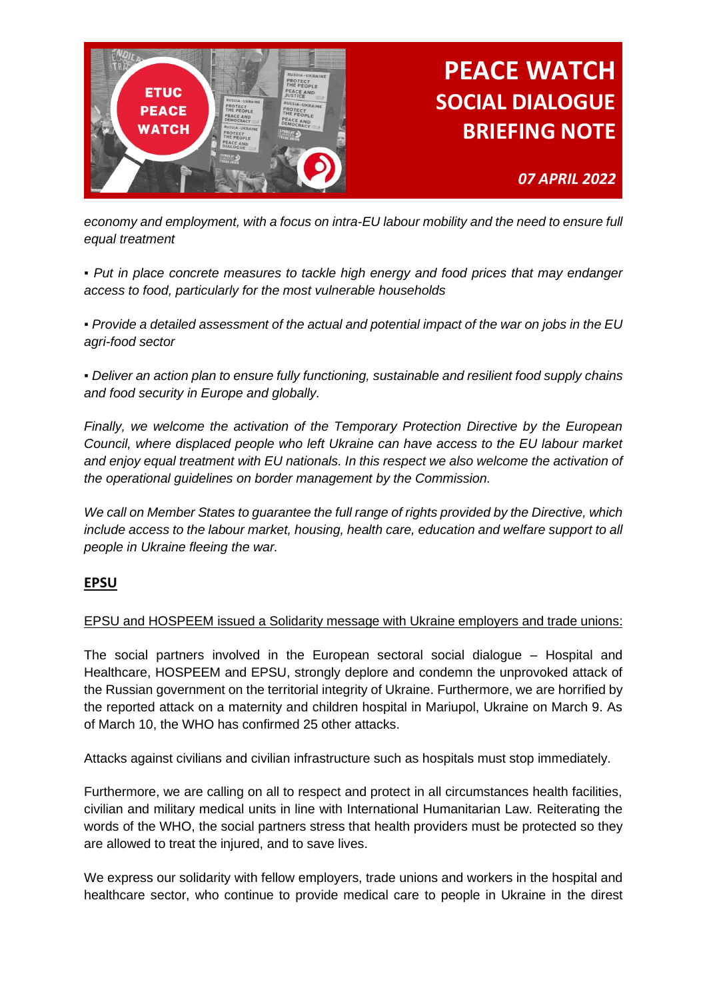

### *economy and employment, with a focus on intra-EU labour mobility and the need to ensure full equal treatment*

*07 APRIL 2022*

*▪ Put in place concrete measures to tackle high energy and food prices that may endanger access to food, particularly for the most vulnerable households* 

*▪ Provide a detailed assessment of the actual and potential impact of the war on jobs in the EU agri-food sector* 

*▪ Deliver an action plan to ensure fully functioning, sustainable and resilient food supply chains and food security in Europe and globally.* 

*Finally, we welcome the activation of the Temporary Protection Directive by the European Council, where displaced people who left Ukraine can have access to the EU labour market and enjoy equal treatment with EU nationals. In this respect we also welcome the activation of the operational guidelines on border management by the Commission.* 

*We call on Member States to guarantee the full range of rights provided by the Directive, which*  include access to the labour market, housing, health care, education and welfare support to all *people in Ukraine fleeing the war.*

#### **EPSU**

#### EPSU and HOSPEEM issued a Solidarity message with Ukraine employers and trade unions:

The social partners involved in the European sectoral social dialogue – Hospital and Healthcare, HOSPEEM and EPSU, strongly deplore and condemn the unprovoked attack of the Russian government on the territorial integrity of Ukraine. Furthermore, we are horrified by the reported attack on a maternity and children hospital in Mariupol, Ukraine on March 9. As of March 10, the WHO has confirmed 25 other attacks.

Attacks against civilians and civilian infrastructure such as hospitals must stop immediately.

Furthermore, we are calling on all to respect and protect in all circumstances health facilities, civilian and military medical units in line with International Humanitarian Law. Reiterating the words of the WHO, the social partners stress that health providers must be protected so they are allowed to treat the injured, and to save lives.

We express our solidarity with fellow employers, trade unions and workers in the hospital and healthcare sector, who continue to provide medical care to people in Ukraine in the direst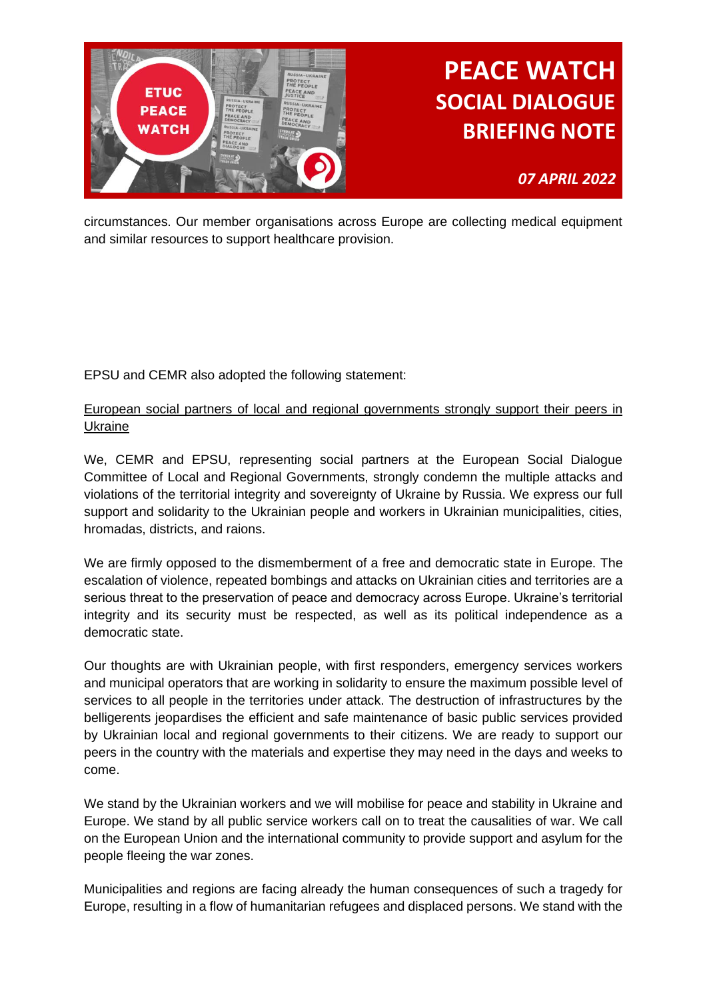

*07 APRIL 2022*

circumstances. Our member organisations across Europe are collecting medical equipment and similar resources to support healthcare provision.

EPSU and CEMR also adopted the following statement:

### European social partners of local and regional governments strongly support their peers in Ukraine

We, CEMR and EPSU, representing social partners at the European Social Dialogue Committee of Local and Regional Governments, strongly condemn the multiple attacks and violations of the territorial integrity and sovereignty of Ukraine by Russia. We express our full support and solidarity to the Ukrainian people and workers in Ukrainian municipalities, cities, hromadas, districts, and raions.

We are firmly opposed to the dismemberment of a free and democratic state in Europe. The escalation of violence, repeated bombings and attacks on Ukrainian cities and territories are a serious threat to the preservation of peace and democracy across Europe. Ukraine's territorial integrity and its security must be respected, as well as its political independence as a democratic state.

Our thoughts are with Ukrainian people, with first responders, emergency services workers and municipal operators that are working in solidarity to ensure the maximum possible level of services to all people in the territories under attack. The destruction of infrastructures by the belligerents jeopardises the efficient and safe maintenance of basic public services provided by Ukrainian local and regional governments to their citizens. We are ready to support our peers in the country with the materials and expertise they may need in the days and weeks to come.

We stand by the Ukrainian workers and we will mobilise for peace and stability in Ukraine and Europe. We stand by all public service workers call on to treat the causalities of war. We call on the European Union and the international community to provide support and asylum for the people fleeing the war zones.

Municipalities and regions are facing already the human consequences of such a tragedy for Europe, resulting in a flow of humanitarian refugees and displaced persons. We stand with the